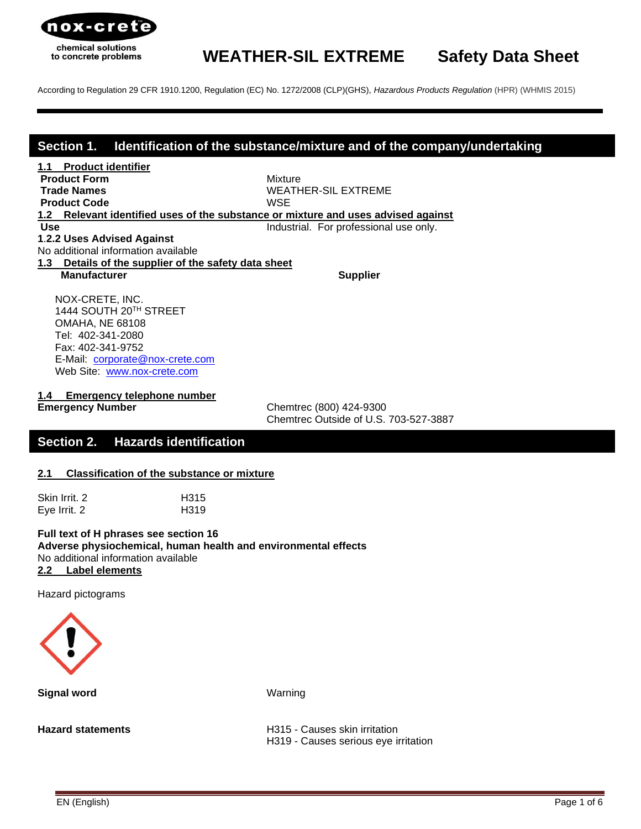

According to Regulation 29 CFR 1910.1200, Regulation (EC) No. 1272/2008 (CLP)(GHS), *[Hazardous Products Regulation](http://laws-lois.justice.gc.ca/eng/regulations/SOR-2015-17/index.html)* (HPR) (WHMIS 2015)

### **Section 1. Identification of the substance/mixture and of the company/undertaking**

**1.1 Product identifier Product Form Mixture Product Code** WSE

**Trade Names** WEATHER-SIL EXTREME

**1.2 Relevant identified uses of the substance or mixture and uses advised against**

**Use Industrial.** For professional use only.

**1**.**2.2 Uses Advised Against** No additional information available

**Manufacturer Supplier Supplier** Supplier

 NOX-CRETE, INC. 1444 SOUTH 20TH STREET OMAHA, NE 68108 Tel: 402-341-2080 Fax: 402-341-9752 E-Mail: [corporate@nox-crete.com](mailto:corperate@nox-crete.com) Web Site: [www.nox-crete.com](http://www.nox-crete.com/)

**1.3 Details of the supplier of the safety data sheet**

**1.4 Emergency telephone number**

**Emergency Number** Chemtrec (800) 424-9300 Chemtrec Outside of U.S. 703-527-3887

# **Section 2. Hazards identification**

#### **2.1 Classification of the substance or mixture**

| Skin Irrit. 2 | H <sub>315</sub> |
|---------------|------------------|
| Eye Irrit. 2  | H <sub>319</sub> |

**Full text of H phrases see section 16 Adverse physiochemical, human health and environmental effects** No additional information available **2.2 Label elements**

Hazard pictograms



**Signal word** Warning

**Hazard statements H315 - Causes skin irritation** H319 - Causes serious eye irritation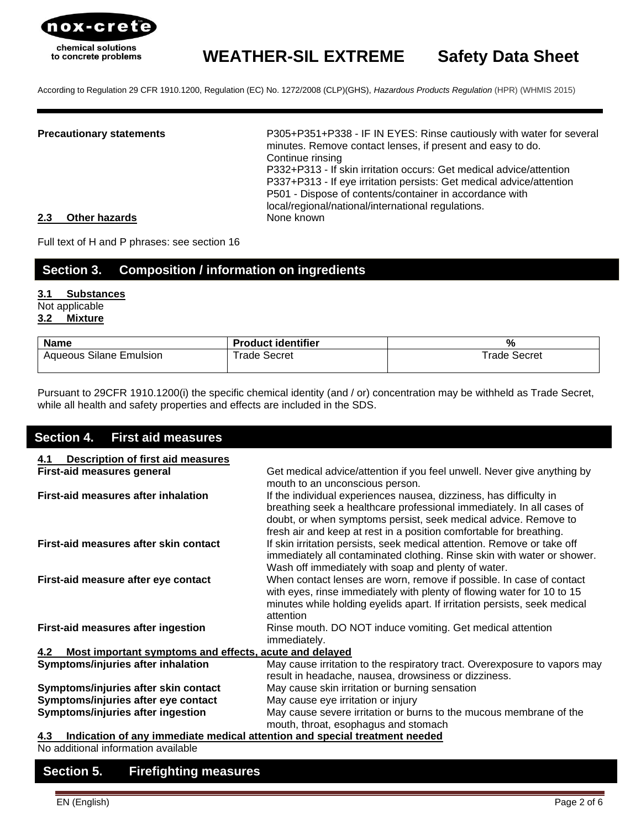

According to Regulation 29 CFR 1910.1200, Regulation (EC) No. 1272/2008 (CLP)(GHS), *[Hazardous Products Regulation](http://laws-lois.justice.gc.ca/eng/regulations/SOR-2015-17/index.html)* (HPR) (WHMIS 2015)

**Precautionary statements** P305+P351+P338 - IF IN EYES: Rinse cautiously with water for several minutes. Remove contact lenses, if present and easy to do. Continue rinsing P332+P313 - If skin irritation occurs: Get medical advice/attention P337+P313 - If eye irritation persists: Get medical advice/attention P501 - Dispose of contents/container in accordance with local/regional/national/international regulations.

#### **2.3 Other hazards** None known

Full text of H and P phrases: see section 16

# **Section 3. Composition / information on ingredients**

#### **3.1 Substances** Not applicable

## **3.2 Mixture**

| <b>Name</b>                    | <b>Product identifier</b> | O.           |
|--------------------------------|---------------------------|--------------|
| <b>Aqueous Silane Emulsion</b> | ⊺rade Secret              | ™rade Secret |

Pursuant to 29CFR 1910.1200(i) the specific chemical identity (and / or) concentration may be withheld as Trade Secret, while all health and safety properties and effects are included in the SDS.

### **Section 4. First aid measures**

| <b>Description of first aid measures</b><br>4.1                                   |                                                                                                                                                                                                                                                                                       |
|-----------------------------------------------------------------------------------|---------------------------------------------------------------------------------------------------------------------------------------------------------------------------------------------------------------------------------------------------------------------------------------|
| <b>First-aid measures general</b>                                                 | Get medical advice/attention if you feel unwell. Never give anything by<br>mouth to an unconscious person.                                                                                                                                                                            |
| First-aid measures after inhalation                                               | If the individual experiences nausea, dizziness, has difficulty in<br>breathing seek a healthcare professional immediately. In all cases of<br>doubt, or when symptoms persist, seek medical advice. Remove to<br>fresh air and keep at rest in a position comfortable for breathing. |
| First-aid measures after skin contact                                             | If skin irritation persists, seek medical attention. Remove or take off<br>immediately all contaminated clothing. Rinse skin with water or shower.<br>Wash off immediately with soap and plenty of water.                                                                             |
| First-aid measure after eye contact                                               | When contact lenses are worn, remove if possible. In case of contact<br>with eyes, rinse immediately with plenty of flowing water for 10 to 15<br>minutes while holding eyelids apart. If irritation persists, seek medical<br>attention                                              |
| First-aid measures after ingestion                                                | Rinse mouth. DO NOT induce vomiting. Get medical attention<br>immediately.                                                                                                                                                                                                            |
| Most important symptoms and effects, acute and delayed<br>4.2                     |                                                                                                                                                                                                                                                                                       |
| Symptoms/injuries after inhalation                                                | May cause irritation to the respiratory tract. Overexposure to vapors may<br>result in headache, nausea, drowsiness or dizziness.                                                                                                                                                     |
| Symptoms/injuries after skin contact                                              | May cause skin irritation or burning sensation                                                                                                                                                                                                                                        |
| Symptoms/injuries after eye contact                                               | May cause eye irritation or injury                                                                                                                                                                                                                                                    |
| Symptoms/injuries after ingestion                                                 | May cause severe irritation or burns to the mucous membrane of the<br>mouth, throat, esophagus and stomach                                                                                                                                                                            |
| Indication of any immediate medical attention and special treatment needed<br>4.3 |                                                                                                                                                                                                                                                                                       |

No additional information available

## **Section 5. Firefighting measures**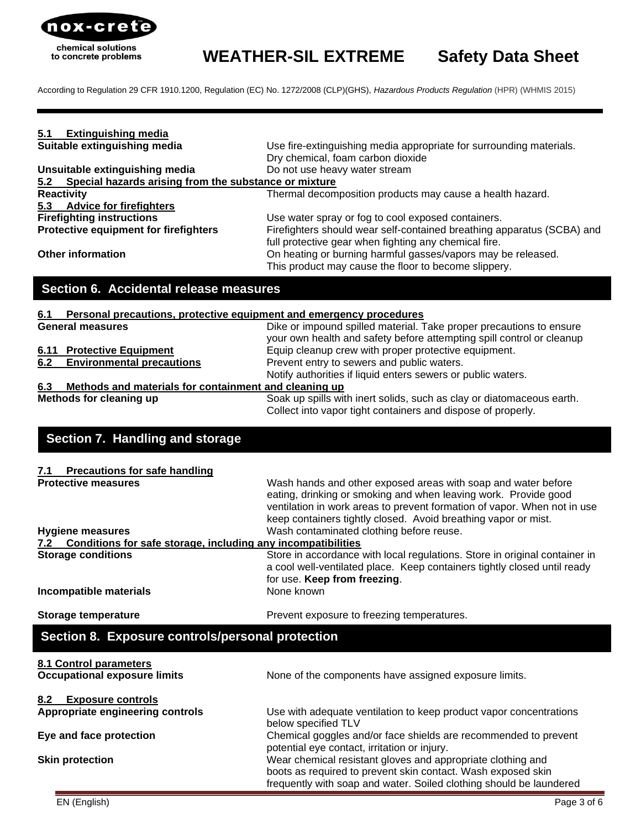

According to Regulation 29 CFR 1910.1200, Regulation (EC) No. 1272/2008 (CLP)(GHS), *[Hazardous Products Regulation](http://laws-lois.justice.gc.ca/eng/regulations/SOR-2015-17/index.html)* (HPR) (WHMIS 2015)

| 5.1<br><b>Extinguishing media</b>                                                                     |                                                                                                                                            |
|-------------------------------------------------------------------------------------------------------|--------------------------------------------------------------------------------------------------------------------------------------------|
| Suitable extinguishing media                                                                          | Use fire-extinguishing media appropriate for surrounding materials.                                                                        |
|                                                                                                       | Dry chemical, foam carbon dioxide                                                                                                          |
| Unsuitable extinguishing media<br>Special hazards arising from the substance or mixture<br><u>5.2</u> | Do not use heavy water stream                                                                                                              |
| <b>Reactivity</b>                                                                                     | Thermal decomposition products may cause a health hazard.                                                                                  |
| 5.3 Advice for firefighters                                                                           |                                                                                                                                            |
| <b>Firefighting instructions</b>                                                                      | Use water spray or fog to cool exposed containers.                                                                                         |
| Protective equipment for firefighters                                                                 | Firefighters should wear self-contained breathing apparatus (SCBA) and                                                                     |
|                                                                                                       | full protective gear when fighting any chemical fire.                                                                                      |
| <b>Other information</b>                                                                              | On heating or burning harmful gasses/vapors may be released.                                                                               |
|                                                                                                       | This product may cause the floor to become slippery.                                                                                       |
| Section 6. Accidental release measures                                                                |                                                                                                                                            |
|                                                                                                       |                                                                                                                                            |
| Personal precautions, protective equipment and emergency procedures<br>6.1                            |                                                                                                                                            |
| <b>General measures</b>                                                                               | Dike or impound spilled material. Take proper precautions to ensure                                                                        |
| <b>6.11 Protective Equipment</b>                                                                      | your own health and safety before attempting spill control or cleanup<br>Equip cleanup crew with proper protective equipment.              |
| 6.2<br><b>Environmental precautions</b>                                                               | Prevent entry to sewers and public waters.                                                                                                 |
|                                                                                                       | Notify authorities if liquid enters sewers or public waters.                                                                               |
| Methods and materials for containment and cleaning up<br>6.3                                          |                                                                                                                                            |
| Methods for cleaning up                                                                               | Soak up spills with inert solids, such as clay or diatomaceous earth.                                                                      |
|                                                                                                       | Collect into vapor tight containers and dispose of properly.                                                                               |
|                                                                                                       |                                                                                                                                            |
| Section 7. Handling and storage                                                                       |                                                                                                                                            |
|                                                                                                       |                                                                                                                                            |
| <b>Precautions for safe handling</b><br>7.1                                                           |                                                                                                                                            |
| <b>Protective measures</b>                                                                            | Wash hands and other exposed areas with soap and water before                                                                              |
|                                                                                                       | eating, drinking or smoking and when leaving work. Provide good                                                                            |
|                                                                                                       | ventilation in work areas to prevent formation of vapor. When not in use<br>keep containers tightly closed. Avoid breathing vapor or mist. |
| <b>Hygiene measures</b>                                                                               | Wash contaminated clothing before reuse.                                                                                                   |
| 7.2 Conditions for safe storage, including any incompatibilities                                      |                                                                                                                                            |
| <b>Storage conditions</b>                                                                             | Store in accordance with local regulations. Store in original container in                                                                 |
|                                                                                                       | a cool well-ventilated place. Keep containers tightly closed until ready                                                                   |
|                                                                                                       | for use. Keep from freezing.                                                                                                               |
| Incompatible materials                                                                                | None known                                                                                                                                 |
| <b>Storage temperature</b>                                                                            | Prevent exposure to freezing temperatures.                                                                                                 |
| Section 8. Exposure controls/personal protection                                                      |                                                                                                                                            |
|                                                                                                       |                                                                                                                                            |
| 8.1 Control parameters<br><b>Occupational exposure limits</b>                                         |                                                                                                                                            |
|                                                                                                       | None of the components have assigned exposure limits.                                                                                      |
| 8.2<br><b>Exposure controls</b>                                                                       |                                                                                                                                            |
| Appropriate engineering controls                                                                      | Use with adequate ventilation to keep product vapor concentrations                                                                         |
|                                                                                                       | below specified TLV                                                                                                                        |
| Eye and face protection                                                                               | Chemical goggles and/or face shields are recommended to prevent                                                                            |
|                                                                                                       | potential eye contact, irritation or injury.                                                                                               |
| <b>Skin protection</b>                                                                                | Wear chemical resistant gloves and appropriate clothing and                                                                                |

boots as required to prevent skin contact. Wash exposed skin frequently with soap and water. Soiled clothing should be laundered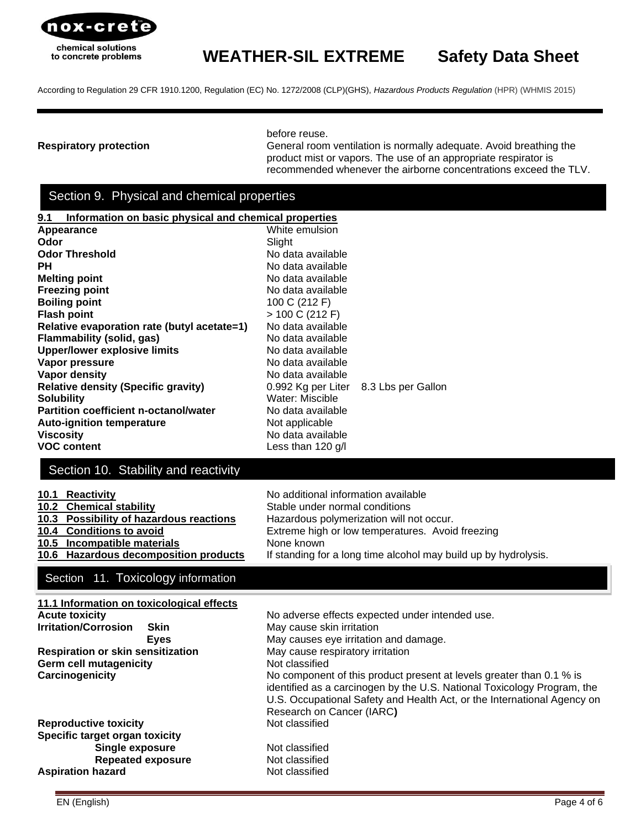

According to Regulation 29 CFR 1910.1200, Regulation (EC) No. 1272/2008 (CLP)(GHS), *[Hazardous Products Regulation](http://laws-lois.justice.gc.ca/eng/regulations/SOR-2015-17/index.html)* (HPR) (WHMIS 2015)

before reuse.

**Respiratory protection** General room ventilation is normally adequate. Avoid breathing the product mist or vapors. The use of an appropriate respirator is recommended whenever the airborne concentrations exceed the TLV.

# Section 9. Physical and chemical properties

| 9.1<br>Information on basic physical and chemical properties |                                                                       |  |
|--------------------------------------------------------------|-----------------------------------------------------------------------|--|
| Appearance                                                   | White emulsion                                                        |  |
| Odor                                                         | Slight                                                                |  |
| <b>Odor Threshold</b>                                        | No data available                                                     |  |
| PН                                                           | No data available                                                     |  |
| <b>Melting point</b>                                         | No data available                                                     |  |
| <b>Freezing point</b>                                        | No data available                                                     |  |
| <b>Boiling point</b>                                         | 100 C (212 F)                                                         |  |
| <b>Flash point</b>                                           | > 100 C (212 F)                                                       |  |
| Relative evaporation rate (butyl acetate=1)                  | No data available                                                     |  |
| Flammability (solid, gas)                                    | No data available                                                     |  |
| <b>Upper/lower explosive limits</b>                          | No data available                                                     |  |
| Vapor pressure                                               | No data available                                                     |  |
| <b>Vapor density</b>                                         | No data available                                                     |  |
| <b>Relative density (Specific gravity)</b>                   | 0.992 Kg per Liter<br>8.3 Lbs per Gallon                              |  |
| <b>Solubility</b>                                            | Water: Miscible                                                       |  |
| <b>Partition coefficient n-octanol/water</b>                 | No data available                                                     |  |
| <b>Auto-ignition temperature</b>                             | Not applicable                                                        |  |
| <b>Viscosity</b>                                             | No data available                                                     |  |
| <b>VOC content</b>                                           | Less than 120 g/l                                                     |  |
| Section 10. Stability and reactivity                         |                                                                       |  |
| <b>Reactivity</b><br>10.1<br>10.2 Chemical stability         | No additional information available<br>Stable under normal conditions |  |
| <b>Possibility of hazardous reactions</b><br>10.3            | Hazardous polymerization will not occur.                              |  |
| 10.4 Conditions to avoid                                     | Extreme high or low temperatures. Avoid freezing                      |  |
| Incompatible materials<br>10.5                               | None known                                                            |  |
| 10.6<br><b>Hazardous decomposition products</b>              |                                                                       |  |
|                                                              | If standing for a long time alcohol may build up by hydrolysis.       |  |

## Section 11. Toxicology information

| 11.1 Information on toxicological effects |                                                                                                                                                                                                                                                         |
|-------------------------------------------|---------------------------------------------------------------------------------------------------------------------------------------------------------------------------------------------------------------------------------------------------------|
| <b>Acute toxicity</b>                     | No adverse effects expected under intended use.                                                                                                                                                                                                         |
| <b>Irritation/Corrosion</b><br>Skin       | May cause skin irritation                                                                                                                                                                                                                               |
| Eyes                                      | May causes eye irritation and damage.                                                                                                                                                                                                                   |
| <b>Respiration or skin sensitization</b>  | May cause respiratory irritation                                                                                                                                                                                                                        |
| <b>Germ cell mutagenicity</b>             | Not classified                                                                                                                                                                                                                                          |
| Carcinogenicity                           | No component of this product present at levels greater than 0.1 % is<br>identified as a carcinogen by the U.S. National Toxicology Program, the<br>U.S. Occupational Safety and Health Act, or the International Agency on<br>Research on Cancer (IARC) |
| <b>Reproductive toxicity</b>              | Not classified                                                                                                                                                                                                                                          |
| Specific target organ toxicity            |                                                                                                                                                                                                                                                         |
| Single exposure                           | Not classified                                                                                                                                                                                                                                          |
| <b>Repeated exposure</b>                  | Not classified                                                                                                                                                                                                                                          |
| <b>Aspiration hazard</b>                  | Not classified                                                                                                                                                                                                                                          |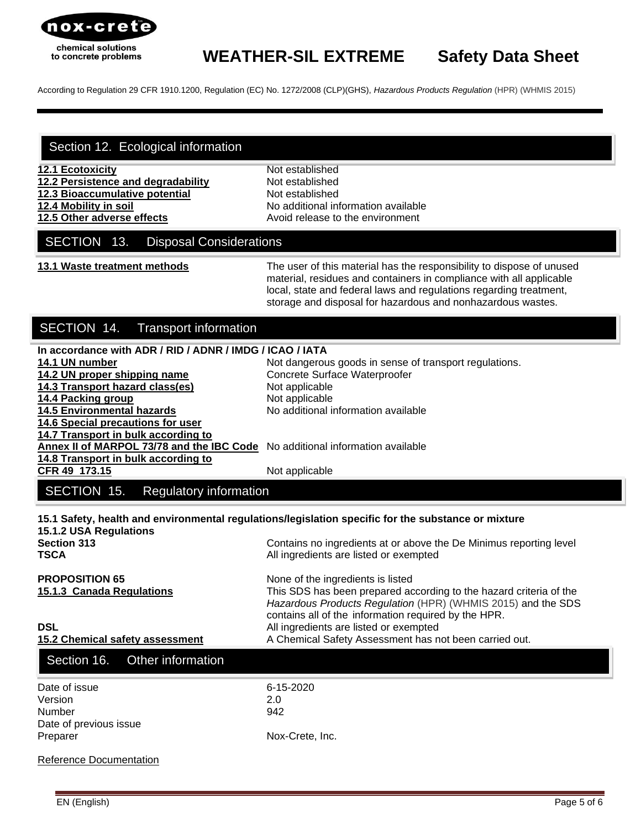

According to Regulation 29 CFR 1910.1200, Regulation (EC) No. 1272/2008 (CLP)(GHS), *[Hazardous Products Regulation](http://laws-lois.justice.gc.ca/eng/regulations/SOR-2015-17/index.html)* (HPR) (WHMIS 2015)

## Section 12. Ecological information

- **12.1 Ecotoxicity** Not established
- **12.2 Persistence and degradability** Not established
- **12.3 Bioaccumulative potential** Not established
- 

**12.4 Mobility in soil 12.4 Mobility in solution 12.4 Mobility in solution 12.4 Mobility 12.5 Other adverse effects** Avoid release to the environment

## SECTION 13. Disposal Considerations

**13.1 Waste treatment methods** The user of this material has the responsibility to dispose of unused material, residues and containers in compliance with all applicable local, state and federal laws and regulations regarding treatment, storage and disposal for hazardous and nonhazardous wastes.

*[Hazardous Products Regulation](http://laws-lois.justice.gc.ca/eng/regulations/SOR-2015-17/index.html)* (HPR) (WHMIS 2015) and the SDS

contains all of the information required by the HPR.

# SECTION 14. Transport information

| In accordance with ADR / RID / ADNR / IMDG / ICAO / IATA                                            |                                                                                                              |  |
|-----------------------------------------------------------------------------------------------------|--------------------------------------------------------------------------------------------------------------|--|
| 14.1 UN number                                                                                      | Not dangerous goods in sense of transport regulations.                                                       |  |
| 14.2 UN proper shipping name                                                                        | Concrete Surface Waterproofer                                                                                |  |
| 14.3 Transport hazard class(es)                                                                     | Not applicable                                                                                               |  |
| 14.4 Packing group                                                                                  | Not applicable                                                                                               |  |
| <b>14.5 Environmental hazards</b>                                                                   | No additional information available                                                                          |  |
| 14.6 Special precautions for user                                                                   |                                                                                                              |  |
| 14.7 Transport in bulk according to                                                                 |                                                                                                              |  |
| Annex II of MARPOL 73/78 and the IBC Code No additional information available                       |                                                                                                              |  |
| 14.8 Transport in bulk according to                                                                 |                                                                                                              |  |
| CFR 49 173.15                                                                                       | Not applicable                                                                                               |  |
| SECTION 15.<br><b>Regulatory information</b>                                                        |                                                                                                              |  |
| 15.1 Safety, health and environmental regulations/legislation specific for the substance or mixture |                                                                                                              |  |
| 15.1.2 USA Regulations<br><b>Section 313</b><br>TSCA                                                | Contains no ingredients at or above the De Minimus reporting level<br>All ingredients are listed or exempted |  |

#### **PROPOSITION 65** None of the ingredients is listed **15.1.3 Canada Regulations** This SDS has been prepared according to the hazard criteria of the

**DSL DSL All ingredients are listed or exempted** 

15.2 Chemical safety assessment **A** Chemical Safety Assessment has not been carried out.

| Section 16. Other information |                 |  |
|-------------------------------|-----------------|--|
| Date of issue                 | 6-15-2020       |  |
| Version                       | 2.0             |  |
| Number                        | 942             |  |
| Date of previous issue        |                 |  |
| Preparer                      | Nox-Crete, Inc. |  |
| Reference Documentation       |                 |  |